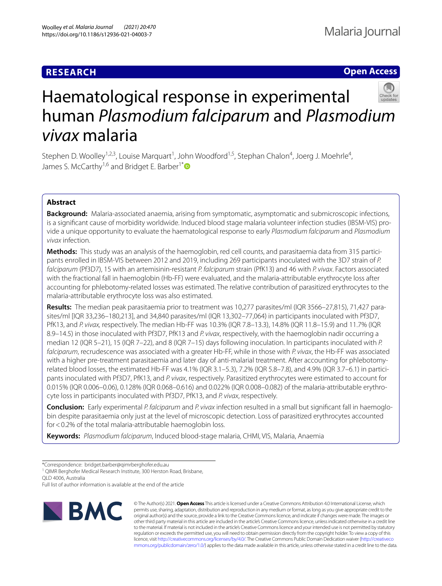## **RESEARCH**

## **Open Access**



# Haematological response in experimental human *Plasmodium falciparum* and *Plasmodium vivax* malaria

Stephen D. Woolley<sup>1,2,3</sup>, Louise Marquart<sup>1</sup>, John Woodford<sup>1,5</sup>, Stephan Chalon<sup>4</sup>, Joerg J. Moehrle<sup>4</sup>, James S. McCarthy<sup>1,6</sup> and Bridget E. Barber<sup>1[\\*](http://orcid.org/0000-0003-1066-7960)</sup>

### **Abstract**

**Background:** Malaria-associated anaemia, arising from symptomatic, asymptomatic and submicroscopic infections, is a signifcant cause of morbidity worldwide. Induced blood stage malaria volunteer infection studies (IBSM-VIS) provide a unique opportunity to evaluate the haematological response to early *Plasmodium falciparum* and *Plasmodium vivax* infection.

**Methods:** This study was an analysis of the haemoglobin, red cell counts, and parasitaemia data from 315 participants enrolled in IBSM-VIS between 2012 and 2019, including 269 participants inoculated with the 3D7 strain of *P. falciparum* (Pf3D7), 15 with an artemisinin-resistant *P. falciparum* strain (PfK13) and 46 with *P. vivax*. Factors associated with the fractional fall in haemoglobin (Hb-FF) were evaluated, and the malaria-attributable erythrocyte loss after accounting for phlebotomy-related losses was estimated. The relative contribution of parasitized erythrocytes to the malaria-attributable erythrocyte loss was also estimated.

**Results:** The median peak parasitaemia prior to treatment was 10,277 parasites/ml (IQR 3566–27,815), 71,427 parasites/ml [IQR 33,236–180,213], and 34,840 parasites/ml (IQR 13,302–77,064) in participants inoculated with Pf3D7, PfK13, and *P. vivax,* respectively. The median Hb-FF was 10.3% (IQR 7.8–13.3), 14.8% (IQR 11.8–15.9) and 11.7% (IQR 8.9–14.5) in those inoculated with Pf3D7, PfK13 and *P. vivax*, respectively, with the haemoglobin nadir occurring a median 12 (IQR 5–21), 15 (IQR 7–22), and 8 (IQR 7–15) days following inoculation. In participants inoculated with *P. falciparum*, recrudescence was associated with a greater Hb-FF, while in those with *P. vivax*, the Hb-FF was associated with a higher pre-treatment parasitaemia and later day of anti-malarial treatment. After accounting for phlebotomyrelated blood losses, the estimated Hb-FF was 4.1% (IQR 3.1–5.3), 7.2% (IQR 5.8–7.8), and 4.9% (IQR 3.7–6.1) in participants inoculated with Pf3D7, PfK13, and *P. vivax*, respectively. Parasitized erythrocytes were estimated to account for 0.015% (IQR 0.006–0.06), 0.128% (IQR 0.068–0.616) and 0.022% (IQR 0.008–0.082) of the malaria-attributable erythrocyte loss in participants inoculated with Pf3D7, PfK13, and *P. vivax*, respectively.

**Conclusion:** Early experimental *P. falciparum* and *P. vivax* infection resulted in a small but signifcant fall in haemoglobin despite parasitaemia only just at the level of microscopic detection. Loss of parasitized erythrocytes accounted for<0.2% of the total malaria-attributable haemoglobin loss.

**Keywords:** *Plasmodium falciparum*, Induced blood-stage malaria, CHMI, VIS, Malaria, Anaemia

<sup>1</sup> QIMR Berghofer Medical Research Institute, 300 Herston Road, Brisbane,

QLD 4006, Australia

Full list of author information is available at the end of the article



© The Author(s) 2021. **Open Access** This article is licensed under a Creative Commons Attribution 4.0 International License, which permits use, sharing, adaptation, distribution and reproduction in any medium or format, as long as you give appropriate credit to the original author(s) and the source, provide a link to the Creative Commons licence, and indicate if changes were made. The images or other third party material in this article are included in the article's Creative Commons licence, unless indicated otherwise in a credit line to the material. If material is not included in the article's Creative Commons licence and your intended use is not permitted by statutory regulation or exceeds the permitted use, you will need to obtain permission directly from the copyright holder. To view a copy of this licence, visit [http://creativecommons.org/licenses/by/4.0/.](http://creativecommons.org/licenses/by/4.0/) The Creative Commons Public Domain Dedication waiver ([http://creativeco](http://creativecommons.org/publicdomain/zero/1.0/) [mmons.org/publicdomain/zero/1.0/](http://creativecommons.org/publicdomain/zero/1.0/)) applies to the data made available in this article, unless otherwise stated in a credit line to the data.

<sup>\*</sup>Correspondence: bridget.barber@qimrberghofer.edu.au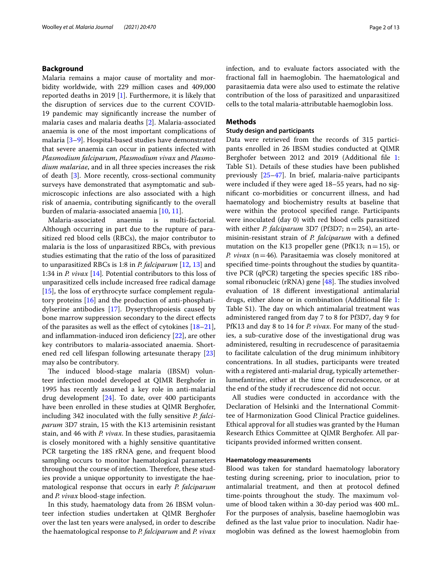#### **Background**

Malaria remains a major cause of mortality and morbidity worldwide, with 229 million cases and 409,000 reported deaths in 2019 [\[1](#page-11-0)]. Furthermore, it is likely that the disruption of services due to the current COVID-19 pandemic may signifcantly increase the number of malaria cases and malaria deaths [[2\]](#page-11-1). Malaria-associated anaemia is one of the most important complications of malaria [\[3](#page-11-2)[–9\]](#page-11-3). Hospital-based studies have demonstrated that severe anaemia can occur in patients infected with *Plasmodium falciparum*, *Plasmodium vivax* and *Plasmodium malariae*, and in all three species increases the risk of death [[3\]](#page-11-2). More recently, cross-sectional community surveys have demonstrated that asymptomatic and submicroscopic infections are also associated with a high risk of anaemia, contributing signifcantly to the overall burden of malaria-associated anaemia [\[10](#page-11-4), [11](#page-11-5)].

Malaria-associated anaemia is multi-factorial. Although occurring in part due to the rupture of parasitized red blood cells (RBCs), the major contributor to malaria is the loss of unparasitized RBCs, with previous studies estimating that the ratio of the loss of parasitized to unparasitized RBCs is 1:8 in *P. falciparum* [\[12](#page-11-6), [13\]](#page-11-7) and 1:34 in *P. vivax* [[14](#page-11-8)]*.* Potential contributors to this loss of unparasitized cells include increased free radical damage [[15\]](#page-11-9), the loss of erythrocyte surface complement regulatory proteins [[16](#page-11-10)] and the production of anti-phosphatidylserine antibodies [[17\]](#page-11-11). Dyserythropoiesis caused by bone marrow suppression secondary to the direct efects of the parasites as well as the effect of cytokines  $[18–21]$  $[18–21]$  $[18–21]$  $[18–21]$ , and infammation-induced iron defciency [[22](#page-11-14)], are other key contributors to malaria-associated anaemia. Shortened red cell lifespan following artesunate therapy [[23](#page-11-15)] may also be contributory.

The induced blood-stage malaria (IBSM) volunteer infection model developed at QIMR Berghofer in 1995 has recently assumed a key role in anti-malarial drug development [\[24\]](#page-11-16). To date, over 400 participants have been enrolled in these studies at QIMR Berghofer, including 342 inoculated with the fully sensitive *P. falciparum* 3D7 strain, 15 with the K13 artemisinin resistant stain, and 46 with *P. vivax*. In these studies, parasitaemia is closely monitored with a highly sensitive quantitative PCR targeting the 18S rRNA gene, and frequent blood sampling occurs to monitor haematological parameters throughout the course of infection. Therefore, these studies provide a unique opportunity to investigate the haematological response that occurs in early *P. falciparum* and *P. vivax* blood-stage infection.

In this study, haematology data from 26 IBSM volunteer infection studies undertaken at QIMR Berghofer over the last ten years were analysed, in order to describe the haematological response to *P. falciparum* and *P. vivax* infection, and to evaluate factors associated with the fractional fall in haemoglobin. The haematological and parasitaemia data were also used to estimate the relative contribution of the loss of parasitized and unparasitized cells to the total malaria-attributable haemoglobin loss.

#### **Methods**

#### **Study design and participants**

Data were retrieved from the records of 315 participants enrolled in 26 IBSM studies conducted at QIMR Berghofer between 20[1](#page-10-0)2 and 2019 (Additional file 1: Table S1). Details of these studies have been published previously [[25](#page-11-17)[–47](#page-12-0)]. In brief, malaria-naïve participants were included if they were aged 18–55 years, had no signifcant co-morbidities or concurrent illness, and had haematology and biochemistry results at baseline that were within the protocol specifed range. Participants were inoculated (day 0) with red blood cells parasitized with either *P. falciparum* 3D7 (Pf3D7; n=254), an artemisinin-resistant strain of *P. falciparum* with a defned mutation on the K13 propeller gene (PfK13;  $n=15$ ), or *P. vivax* (n=46)*.* Parasitaemia was closely monitored at specifed time-points throughout the studies by quantitative PCR (qPCR) targeting the species specifc 18S ribosomal ribonucleic (rRNA) gene  $[48]$  $[48]$  $[48]$ . The studies involved evaluation of 18 diferent investigational antimalarial drugs, either alone or in combination (Additional fle [1](#page-10-0): Table S1). The day on which antimalarial treatment was administered ranged from day 7 to 8 for Pf3D7, day 9 for PfK13 and day 8 to 14 for *P. vivax*. For many of the studies, a sub-curative dose of the investigational drug was administered, resulting in recrudescence of parasitaemia to facilitate calculation of the drug minimum inhibitory concentrations. In all studies, participants were treated with a registered anti-malarial drug, typically artemetherlumefantrine, either at the time of recrudescence, or at the end of the study if recrudescence did not occur.

All studies were conducted in accordance with the Declaration of Helsinki and the International Committee of Harmonization Good Clinical Practice guidelines. Ethical approval for all studies was granted by the Human Research Ethics Committee at QIMR Berghofer. All participants provided informed written consent.

#### **Haematology measurements**

Blood was taken for standard haematology laboratory testing during screening, prior to inoculation, prior to antimalarial treatment, and then at protocol defned time-points throughout the study. The maximum volume of blood taken within a 30-day period was 400 mL. For the purposes of analysis, baseline haemoglobin was defned as the last value prior to inoculation. Nadir haemoglobin was defned as the lowest haemoglobin from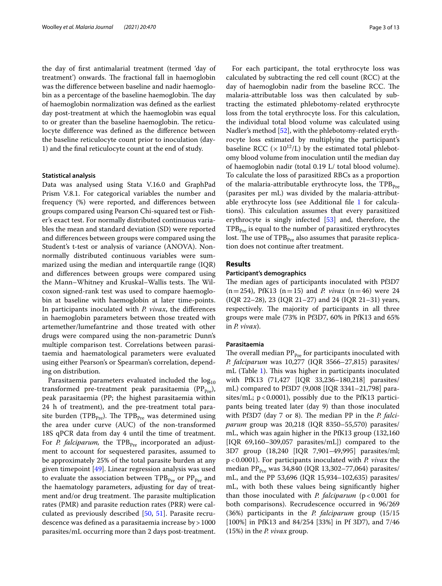the day of frst antimalarial treatment (termed 'day of treatment') onwards. The fractional fall in haemoglobin was the diference between baseline and nadir haemoglobin as a percentage of the baseline haemoglobin. The day of haemoglobin normalization was defned as the earliest day post-treatment at which the haemoglobin was equal to or greater than the baseline haemoglobin. The reticulocyte diference was defned as the diference between the baseline reticulocyte count prior to inoculation (day-1) and the fnal reticulocyte count at the end of study.

#### **Statistical analysis**

Data was analysed using Stata V.16.0 and GraphPad Prism V.8.1. For categorical variables the number and frequency (%) were reported, and diferences between groups compared using Pearson Chi-squared test or Fisher's exact test. For normally distributed continuous variables the mean and standard deviation (SD) were reported and diferences between groups were compared using the Student's t-test or analysis of variance (ANOVA). Nonnormally distributed continuous variables were summarized using the median and interquartile range (IQR) and diferences between groups were compared using the Mann–Whitney and Kruskal–Wallis tests. The Wilcoxon signed-rank test was used to compare haemoglobin at baseline with haemoglobin at later time-points. In participants inoculated with *P. vivax*, the diferences in haemoglobin parameters between those treated with artemether/lumefantrine and those treated with other drugs were compared using the non-parametric Dunn's multiple comparison test. Correlations between parasitaemia and haematological parameters were evaluated using either Pearson's or Spearman's correlation, depending on distribution.

Parasitaemia parameters evaluated included the  $log_{10}$ transformed pre-treatment peak parasitaemia ( $PP_{Pre}$ ), peak parasitaemia (PP; the highest parasitaemia within 24 h of treatment), and the pre-treatment total parasite burden (TPB<sub>Pre</sub>). The TPB<sub>Pre</sub> was determined using the area under curve (AUC) of the non-transformed 18S qPCR data from day 4 until the time of treatment. For *P. falciparum*, the TPB<sub>Pre</sub> incorporated an adjustment to account for sequestered parasites, assumed to be approximately 25% of the total parasite burden at any given timepoint [\[49](#page-12-2)]. Linear regression analysis was used to evaluate the association between  $TPB<sub>Pre</sub>$  or  $PP<sub>Pre</sub>$  and the haematology parameters, adjusting for day of treatment and/or drug treatment. The parasite multiplication rates (PMR) and parasite reduction rates (PRR) were calculated as previously described [\[50](#page-12-3), [51\]](#page-12-4). Parasite recrudescence was defined as a parasitaemia increase by  $>1000$ parasites/mL occurring more than 2 days post-treatment.

For each participant, the total erythrocyte loss was calculated by subtracting the red cell count (RCC) at the day of haemoglobin nadir from the baseline RCC. The malaria-attributable loss was then calculated by subtracting the estimated phlebotomy-related erythrocyte loss from the total erythrocyte loss. For this calculation, the individual total blood volume was calculated using Nadler's method [\[52](#page-12-5)], with the phlebotomy-related erythrocyte loss estimated by multiplying the participant's baseline RCC ( $\times$  10<sup>12</sup>/L) by the estimated total phlebotomy blood volume from inoculation until the median day of haemoglobin nadir (total 0.19 L/ total blood volume). To calculate the loss of parasitized RBCs as a proportion of the malaria-attributable erythrocyte loss, the  $TPB_{p_{re}}$ (parasites per mL) was divided by the malaria-attributable erythrocyte loss (see Additional fle [1](#page-10-0) for calculations). This calculation assumes that every parasitized erythrocyte is singly infected [[53\]](#page-12-6) and, therefore, the  $TPB<sub>Pre</sub>$  is equal to the number of parasitized erythrocytes lost. The use of  $TPB<sub>Pre</sub>$  also assumes that parasite replication does not continue after treatment.

#### **Results**

#### **Participant's demographics**

The median ages of participants inoculated with Pf3D7  $(n=254)$ , PfK13  $(n=15)$  and *P. vivax*  $(n=46)$  were 24 (IQR 22–28), 23 (IQR 21–27) and 24 (IQR 21–31) years, respectively. The majority of participants in all three groups were male (73% in Pf3D7, 60% in PfK13 and 65% in *P. vivax*).

#### **Parasitaemia**

The overall median  $PP_{pre}$  for participants inoculated with *P. falciparum* was 10,277 (IQR 3566–27,815) parasites/ mL (Table [1](#page-3-0)). This was higher in participants inoculated with PfK13 (71,427 [IQR 33,236–180,218] parasites/ mL) compared to Pf3D7 (9,008 [IQR 3341–21,798] parasites/mL;  $p < 0.0001$ ), possibly due to the PfK13 participants being treated later (day 9) than those inoculated with Pf3D7 (day 7 or 8). The median PP in the *P. falciparum* group was 20,218 (IQR 8350–55,570) parasites/ mL, which was again higher in the PfK13 group (132,160 [IQR 69,160–309,057 parasites/mL]) compared to the 3D7 group (18,240 [IQR 7,901–49,995] parasites/ml; p<0.0001). For participants inoculated with *P. vivax* the median PP<sub>Pre</sub> was 34,840 (IQR 13,302-77,064) parasites/ mL, and the PP 53,696 (IQR 15,934–102,635) parasites/ mL, with both these values being signifcantly higher than those inoculated with *P. falciparum* (p<0.001 for both comparisons). Recrudescence occurred in 96/269 (36%) participants in the *P. falciparum* group (15/15 [100%] in PfK13 and 84/254 [33%] in Pf 3D7), and 7/46 (15%) in the *P. vivax* group.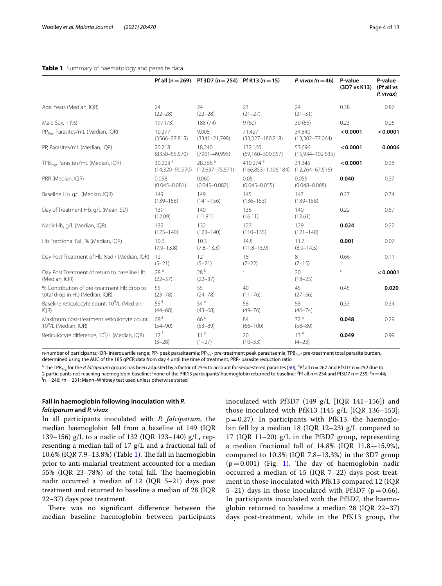|                                                                              |                                            | Pf all $(n = 269)$ Pf 3D7 $(n = 254)$ Pf K13 $(n = 15)$ |                                                    | P. vivax ( $n = 46$ )          | P-value<br>(3D7 vs K13) | P-value<br>(Pf all vs<br>P. vivax) |
|------------------------------------------------------------------------------|--------------------------------------------|---------------------------------------------------------|----------------------------------------------------|--------------------------------|-------------------------|------------------------------------|
| Age, Years (Median, IQR)                                                     | 24<br>$(22 - 28)$                          | 24<br>$(22 - 28)$                                       | 23<br>$(21 - 27)$                                  | 24<br>$(21 - 31)$              | 0.38                    | 0.87                               |
| Male Sex, n (%)                                                              | 197 (73)                                   | 188 (74)                                                | 9(60)                                              | 30(65)                         | 0.23                    | 0.26                               |
| PP <sub>Pres</sub> Parasites/mL (Median, IQR)                                | 10.277<br>$(3566 - 27, 815)$               | 9.008<br>$(3341 - 21,798)$                              | 71,427<br>$(33,327-180,218)$                       | 34,840<br>$(13,302 - 77,064)$  | < 0.0001                | < 0.0001                           |
| PP, Parasites/mL (Median, IQR)                                               | 20,218<br>$(8350 - 55,570)$                | 18,240<br>$(7901 - 49,995)$                             | 132.160<br>$(69, 160 - 309, 057)$                  | 53,696<br>$(15,934 - 102,635)$ | < 0.0001                | 0.0006                             |
| TPB <sub>pre</sub> , Parasites/mL (Median, IQR)                              | 30,223 <sup>a</sup><br>$(14,320 - 90,970)$ | 28.366 <sup>a</sup><br>$(12,637 - 75,571)$              | 410.274 <sup>a</sup><br>$(166, 853 - 1, 106, 184)$ | 31.345<br>$(12,264 - 67,516)$  | < 0.0001                | 0.38                               |
| PRR (Median, IQR)                                                            | 0.058<br>$(0.045 - 0.081)$                 | 0.060<br>$(0.045 - 0.082)$                              | 0.051<br>$(0.045 - 0.055)$                         | 0.055<br>$(0.048 - 0.068)$     | 0.040                   | 0.37                               |
| Baseline Hb, g/L (Median, IQR)                                               | 149<br>$(139 - 156)$                       | 149<br>$(141 - 156)$                                    | 145<br>$(136 - 153)$                               | 147<br>$(139 - 158)$           | 0.27                    | 0.74                               |
| Day of Treatment Hb, g/L (Mean, SD)                                          | 139<br>(12.09)                             | 140<br>(11.81)                                          | 136<br>(16.11)                                     | 140<br>(12.61)                 | 0.22                    | 0.57                               |
| Nadir Hb, g/L (Median, IQR)                                                  | 132<br>$(123 - 140)$                       | 132<br>$(123 - 140)$                                    | 127<br>$(110 - 135)$                               | 129<br>$(121 - 140)$           | 0.024                   | 0.22                               |
| Hb Fractional Fall, % (Median, IQR)                                          | 10.6<br>$(7.9 - 13.8)$                     | 10.3<br>$(7.8 - 13.3)$                                  | 14.8<br>$(11.8 - 15.9)$                            | 11.7<br>$(8.9 - 14.5)$         | 0.001                   | 0.07                               |
| Day Post Treatment of Hb Nadir (Median, IQR)                                 | 12<br>$(5-21)$                             | 12<br>$(5-21)$                                          | 15<br>$(7-22)$                                     | 8<br>$(7-15)$                  | 0.66                    | 0.11                               |
| Day Post Treatment of return to baseline Hb<br>(Median, IQR)                 | 28 <sup>b</sup><br>$(22 - 37)$             | 28 <sup>b</sup><br>$(22 - 37)$                          | C                                                  | 20<br>$(18 - 25)$              | $\subset$               | < 0.0001                           |
| % Contribution of pre-treatment Hb drop to<br>total drop in Hb (Median, IQR) | 55<br>$(23 - 78)$                          | 55<br>$(24 - 78)$                                       | 40<br>$(11 - 76)$                                  | 45<br>$(27 - 56)$              | 0.45                    | 0.020                              |
| Baseline reticulocyte count, 10 <sup>9</sup> /L (Median,<br>IQR)             | $55^d$<br>$(44 - 68)$                      | 54 <sup>d</sup><br>$(43 - 68)$                          | 58<br>$(49 - 76)$                                  | 58<br>$(46 - 74)$              | 0.33                    | 0.34                               |

#### <span id="page-3-0"></span>**Table 1** Summary of haematology and parasite data

n-number of participants; IQR- interquartile range; PP- peak parasitaemia; PP<sub>Pre</sub>- pre-treatment peak parasitaemia; TPB<sub>Pre</sub>- pre-treatment total parasite burden, determined using the AUC of the 18S qPCR data from day 4 until the time of treatment; PRR- parasite reduction ratio

84 (66–100)

20 (10–33)

66 d (53–89)

11 <sup>g</sup>  $(1-27)$ 

<sup>a</sup> The TPB<sub>p</sub> The TPB<sub>Pre</sub> for the *P. falciparum* groups has been adjusted by a factor of 25% to account for sequestered parasites [\[50](#page-12-3)]; <sup>b</sup>Pf all n = 267 and Pf3D7 n = 252 due to 2 participants not reaching haemoglobin baseline; <sup>c</sup>none of the PfK13 participants' haemoglobin returned to baseline; <sup>d</sup>Pf all n = 254 and Pf3D7 n = 239; <sup>e</sup>n = 44;<br><sup>f</sup>n = 246; <sup>9</sup>n = 231; Mann–Whitney test used unless o  $\ln$   $=$  246;  $\ln$   $=$  231; Mann–Whitney test used unless otherwise stated

#### **Fall in haemoglobin following inoculation with** *P. falciparum* **and** *P. vivax*

Maximum post-treatment reticulocyte count,

Reticulocyte difference, 10<sup>9</sup>/L (Median, IQR) 12<sup>f</sup>

109 /L (Median, IQR)

In all participants inoculated with *P. falciparum*, the median haemoglobin fell from a baseline of 149 (IQR 139–156) g/L to a nadir of 132 (IQR 123–140) g/L, representing a median fall of 17 g/L and a fractional fall of  $10.6\%$  (IQR 7.9–13.8%) (Table [1\)](#page-3-0). The fall in haemoglobin prior to anti-malarial treatment accounted for a median 55% (IQR 23-78%) of the total fall. The haemoglobin nadir occurred a median of 12 (IQR 5–21) days post treatment and returned to baseline a median of 28 (IQR 22–37) days post treatment.

68d (54–90)

(3–28)

There was no significant difference between the median baseline haemoglobin between participants inoculated with Pf3D7 (149 g/L [IQR 141–156]) and those inoculated with PfK13 (145  $g/L$  [IQR 136-153];  $p=0.27$ ). In participants with PfK13, the haemoglobin fell by a median 18 (IQR 12–23) g/L compared to 17 (IQR 11–20) g/L in the Pf3D7 group, representing a median fractional fall of 14.8% (IQR 11.8—15.9%), compared to 10.3% (IQR 7.8–13.3%) in the 3D7 group  $(p=0.001)$  $(p=0.001)$  $(p=0.001)$  (Fig. 1). The day of haemoglobin nadir occurred a median of 15 (IQR 7–22) days post treatment in those inoculated with PfK13 compared 12 (IQR 5–21) days in those inoculated with Pf3D7 ( $p=0.66$ ). In participants inoculated with the Pf3D7, the haemoglobin returned to baseline a median 28 (IQR 22–37) days post-treatment, while in the PfK13 group, the

72 e (58–89)

13 e  $(4-23)$  **0.048** 0.29

**0.049** 0.99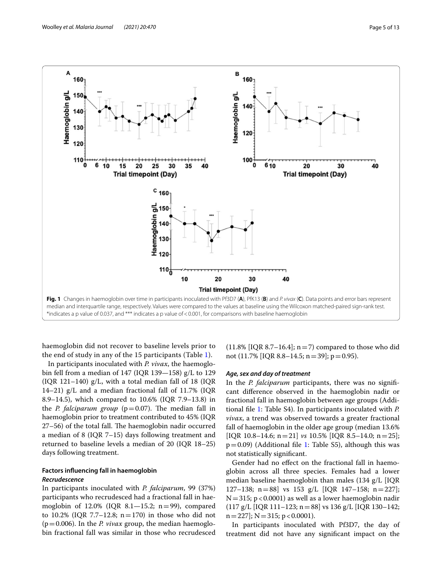

<span id="page-4-0"></span>haemoglobin did not recover to baseline levels prior to the end of study in any of the 15 participants (Table [1\)](#page-3-0).

In participants inoculated with *P. vivax*, the haemoglobin fell from a median of 147 (IQR 139—158) g/L to 129 (IQR 121–140) g/L, with a total median fall of 18 (IQR 14–21) g/L and a median fractional fall of 11.7% (IQR 8.9–14.5), which compared to 10.6% (IQR 7.9–13.8) in the *P. falciparum group* ( $p = 0.07$ ). The median fall in haemoglobin prior to treatment contributed to 45% (IQR  $27-56$ ) of the total fall. The haemoglobin nadir occurred a median of 8 (IQR 7–15) days following treatment and returned to baseline levels a median of 20 (IQR 18–25) days following treatment.

#### **Factors infuencing fall in haemoglobin** *Recrudescence*

In participants inoculated with *P. falciparum*, 99 (37%) participants who recrudesced had a fractional fall in haemoglobin of  $12.0\%$  (IQR  $8.1-15.2$ ; n=99), compared to 10.2% (IQR 7.7–12.8;  $n=170$ ) in those who did not  $(p=0.006)$ . In the *P. vivax* group, the median haemoglobin fractional fall was similar in those who recrudesced

(11.8% [IQR 8.7–16.4];  $n=7$ ) compared to those who did not (11.7% [IQR 8.8–14.5; n=39]; p=0.95).

#### *Age, sex and day of treatment*

In the *P. falciparum* participants, there was no signifcant diference observed in the haemoglobin nadir or fractional fall in haemoglobin between age groups (Additional fle [1:](#page-10-0) Table S4). In participants inoculated with *P. vivax*, a trend was observed towards a greater fractional fall of haemoglobin in the older age group (median 13.6% [IQR 10.8–14.6; n=21] *vs* 10.5% [IQR 8.5–14.0; n=25];  $p=0.09$ ) (Additional file [1:](#page-10-0) Table S5), although this was not statistically signifcant.

Gender had no efect on the fractional fall in haemoglobin across all three species. Females had a lower median baseline haemoglobin than males (134 g/L [IQR 127–138; n=88] vs 153 g/L [IQR 147–158; n=227];  $N=315$ ; p<0.0001) as well as a lower haemoglobin nadir  $(117 \text{ g/L}$  [IQR 111–123; n = 88] vs 136 g/L [IQR 130–142;  $n=227$ ]; N = 315; p < 0.0001).

In participants inoculated with Pf3D7, the day of treatment did not have any signifcant impact on the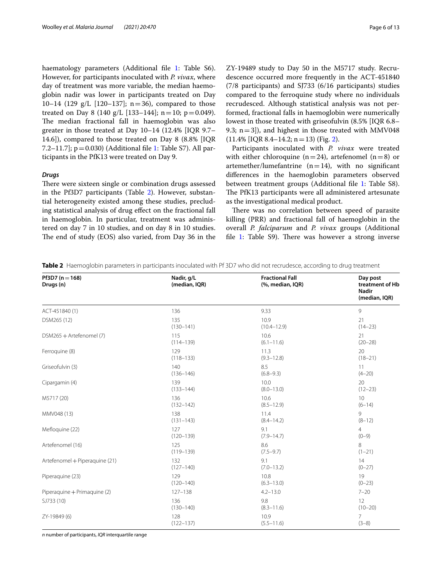haematology parameters (Additional file [1](#page-10-0): Table S6). However, for participants inoculated with *P. vivax*, where day of treatment was more variable, the median haemoglobin nadir was lower in participants treated on Day 10–14 (129  $g/L$  [120–137]; n=36), compared to those treated on Day 8 (140 g/L [133–144]; n = 10; p = 0.049). The median fractional fall in haemoglobin was also greater in those treated at Day 10–14 (12.4% [IQR 9.7– 14.6]), compared to those treated on Day 8 (8.8% [IQR 7.2–11.7];  $p = 0.030$  (Additional file [1:](#page-10-0) Table S7). All participants in the PfK13 were treated on Day 9.

#### *Drugs*

There were sixteen single or combination drugs assessed in the Pf3D7 participants (Table [2](#page-5-0)). However, substantial heterogeneity existed among these studies, precluding statistical analysis of drug efect on the fractional fall in haemoglobin. In particular, treatment was administered on day 7 in 10 studies, and on day 8 in 10 studies. The end of study (EOS) also varied, from Day 36 in the ZY-19489 study to Day 50 in the M5717 study. Recrudescence occurred more frequently in the ACT-451840 (7/8 participants) and SJ733 (6/16 participants) studies compared to the ferroquine study where no individuals recrudesced. Although statistical analysis was not performed, fractional falls in haemoglobin were numerically lowest in those treated with griseofulvin (8.5% [IQR 6.8– 9.3;  $n=3$ ]), and highest in those treated with MMV048  $(11.4\%$  [IQR 8.4-14.2; n = 13) (Fig. [2](#page-6-0)).

Participants inoculated with *P. vivax* were treated with either chloroquine (n=24), artefenomel (n=8) or artemether/lumefantrine  $(n=14)$ , with no significant diferences in the haemoglobin parameters observed between treatment groups (Additional fle [1](#page-10-0): Table S8). The PfK13 participants were all administered artesunate as the investigational medical product.

There was no correlation between speed of parasite killing (PRR) and fractional fall of haemoglobin in the overall *P. falciparum* and *P. vivax* groups (Additional file [1:](#page-10-0) Table  $S9$ ). There was however a strong inverse

<span id="page-5-0"></span>**Table 2** Haemoglobin parameters in participants inoculated with Pf 3D7 who did not recrudesce, according to drug treatment

| Pf3D7 ( $n = 168$ )<br>Drugs (n) | Nadir, g/L<br>(median, IQR) | <b>Fractional Fall</b><br>(%, median, IQR) | Day post<br>treatment of Hb<br><b>Nadir</b><br>(median, IQR) |
|----------------------------------|-----------------------------|--------------------------------------------|--------------------------------------------------------------|
| ACT-451840 (1)                   | 136                         | 9.33                                       | 9                                                            |
| DSM265 (12)                      | 135                         | 10.9                                       | 21                                                           |
|                                  | $(130 - 141)$               | $(10.4 - 12.9)$                            | $(14 - 23)$                                                  |
| DSM265 + Artefenomel (7)         | 115                         | 10.6                                       | 21                                                           |
|                                  | $(114 - 139)$               | $(6.1 - 11.6)$                             | $(20 - 28)$                                                  |
| Ferroquine (8)                   | 129                         | 11.3                                       | 20                                                           |
|                                  | $(118 - 133)$               | $(9.3 - 12.8)$                             | $(18 - 21)$                                                  |
| Griseofulvin (3)                 | 140                         | 8.5                                        | 11                                                           |
|                                  | $(136 - 146)$               | $(6.8 - 9.3)$                              | $(4 - 20)$                                                   |
| Cipargamin (4)                   | 139                         | 10.0                                       | 20                                                           |
|                                  | $(133 - 144)$               | $(8.0 - 13.0)$                             | $(12 - 23)$                                                  |
| M5717 (20)                       | 136                         | 10.6                                       | 10                                                           |
|                                  | $(132 - 142)$               | $(8.5 - 12.9)$                             | $(6-14)$                                                     |
| MMV048 (13)                      | 138                         | 11.4                                       | 9                                                            |
|                                  | $(131 - 143)$               | $(8.4 - 14.2)$                             | $(8-12)$                                                     |
| Mefloquine (22)                  | 127                         | 9.1                                        | $\overline{4}$                                               |
|                                  | $(120 - 139)$               | $(7.9 - 14.7)$                             | $(0-9)$                                                      |
| Artefenomel (16)                 | 125                         | 8.6                                        | 8                                                            |
|                                  | $(119 - 139)$               | $(7.5 - 9.7)$                              | $(1-21)$                                                     |
| Artefenomel + Piperaquine (21)   | 132                         | 9.1                                        | 14                                                           |
|                                  | $(127 - 140)$               | $(7.0 - 13.2)$                             | $(0 - 27)$                                                   |
| Piperaquine (23)                 | 129                         | 10.8                                       | 19                                                           |
|                                  | $(120 - 140)$               | $(6.3 - 13.0)$                             | $(0-23)$                                                     |
| Piperaquine + Primaquine (2)     | $127 - 138$                 | $4.2 - 13.0$                               | $7 - 20$                                                     |
| SJ733 (10)                       | 136                         | 9.8                                        | 12                                                           |
|                                  | $(130 - 140)$               | $(8.3 - 11.6)$                             | $(10 - 20)$                                                  |
| ZY-19849 (6)                     | 128                         | 10.9                                       | 7                                                            |
|                                  | $(122 - 137)$               | $(5.5 - 11.6)$                             | $(3-8)$                                                      |

*n* number of participants, *IQR* interquartile range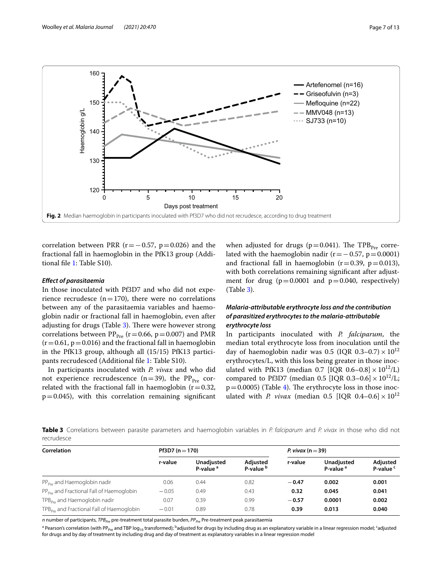

<span id="page-6-0"></span>correlation between PRR ( $r=-0.57$ ,  $p=0.026$ ) and the fractional fall in haemoglobin in the PfK13 group (Additional fle [1](#page-10-0): Table S10).

#### *Efect of parasitaemia*

In those inoculated with Pf3D7 and who did not experience recrudesce  $(n=170)$ , there were no correlations between any of the parasitaemia variables and haemoglobin nadir or fractional fall in haemoglobin, even after adjusting for drugs (Table [3](#page-6-1)). There were however strong correlations between  $PP_{Pre}$  (r=0.66, p=0.007) and PMR  $(r=0.61, p=0.016)$  and the fractional fall in haemoglobin in the PfK13 group, although all (15/15) PfK13 participants recrudesced (Additional fle [1](#page-10-0): Table S10).

In participants inoculated with *P. vivax* and who did not experience recrudescence (n=39), the  $PP_{Pre}$  correlated with the fractional fall in haemoglobin  $(r=0.32)$ ,  $p=0.045$ ), with this correlation remaining significant

when adjusted for drugs ( $p=0.041$ ). The TPB<sub>Pre</sub> correlated with the haemoglobin nadir ( $r = -0.57$ ,  $p = 0.0001$ ) and fractional fall in haemoglobin  $(r=0.39, p=0.013)$ , with both correlations remaining signifcant after adjustment for drug  $(p=0.0001$  and  $p=0.040$ , respectively) (Table [3\)](#page-6-1).

#### *Malaria‑attributable erythrocyte loss and the contribution of parasitized erythrocytes to the malaria‑attributable erythrocyte loss*

In participants inoculated with *P. falciparum*, the median total erythrocyte loss from inoculation until the day of haemoglobin nadir was 0.5 (IQR 0.3-0.7)  $\times 10^{12}$ erythrocytes/L, with this loss being greater in those inoculated with PfK13 (median 0.7 [IQR 0.6–0.8]  $\times 10^{12}$ /L) compared to Pf3D7 (median 0.5 [IQR 0.3–0.6]  $\times 10^{12}$ /L;  $p=0.0005$ ) (Table [4](#page-7-0)). The erythrocyte loss in those inoculated with *P. vivax* (median 0.5 [IQR 0.4–0.6]  $\times 10^{12}$ 

<span id="page-6-1"></span>**Table 3** Correlations between parasite parameters and haemoglobin variables in *P. falciparum* and *P. vivax* in those who did not recrudesce

| Correlation                                           | Pf3D7 ( $n = 170$ ) |                                    |                                  | P. vivax ( $n = 39$ ) |                                    |                                  |
|-------------------------------------------------------|---------------------|------------------------------------|----------------------------------|-----------------------|------------------------------------|----------------------------------|
|                                                       | r-value             | Unadjusted<br>P-value <sup>a</sup> | Adjusted<br>P-value <sup>b</sup> | r-value               | Unadjusted<br>P-value <sup>a</sup> | Adjusted<br>P-value <sup>c</sup> |
| PP <sub>Pre</sub> and Haemoglobin nadir               | 0.06                | 0.44                               | 0.82                             | $-0.47$               | 0.002                              | 0.001                            |
| PP <sub>Pre</sub> and Fractional Fall of Haemoglobin  | $-0.05$             | 0.49                               | 0.43                             | 0.32                  | 0.045                              | 0.041                            |
| TPB <sub>pre</sub> and Haemoglobin nadir              | 0.07                | 0.39                               | 0.99                             | $-0.57$               | 0.0001                             | 0.002                            |
| TPB <sub>Pre</sub> and Fractional Fall of Haemoglobin | $-0.01$             | 0.89                               | 0.78                             | 0.39                  | 0.013                              | 0.040                            |

*n* number of participants, *TPB<sub>pe</sub>* pre-treatment total parasite burden, *PP<sub>pe</sub>* Pre-treatment peak parasitaemia

<sup>a</sup> Pearson's correlation (with PP<sub>Pre</sub> and TBP log<sub>10</sub> transformed); <sup>b</sup>adjusted for drugs by including drug as an explanatory variable in a linear regression model; <sup>c</sup>adjusted for drugs and by day of treatment by including drug and day of treatment as explanatory variables in a linear regression model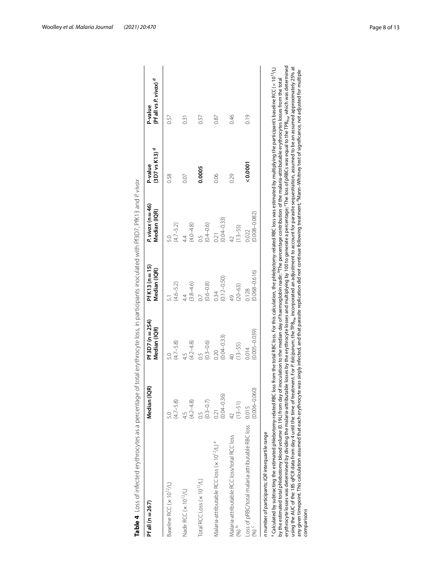<span id="page-7-0"></span>

| Pf all (n = 267)                                                                                                                                                                                                                                                                                                                                                                                                                                                                                                                                                                                                                                                                                                                                                                                                                                                                                                                                                                                                                                                                    | Median (IQR)                         | Pf 3D7 (n = 254)<br>Median (IQR)                                                                                                                               | $PfK13(n=15)$<br>Median (IQR) | P. vivax ( $n = 46$ )<br>Median (IQR) | $(3D7 vs K13)$ <sup>d</sup><br>P-value | (Pf all vs P. vivax) <sup>d</sup><br>P-value |
|-------------------------------------------------------------------------------------------------------------------------------------------------------------------------------------------------------------------------------------------------------------------------------------------------------------------------------------------------------------------------------------------------------------------------------------------------------------------------------------------------------------------------------------------------------------------------------------------------------------------------------------------------------------------------------------------------------------------------------------------------------------------------------------------------------------------------------------------------------------------------------------------------------------------------------------------------------------------------------------------------------------------------------------------------------------------------------------|--------------------------------------|----------------------------------------------------------------------------------------------------------------------------------------------------------------|-------------------------------|---------------------------------------|----------------------------------------|----------------------------------------------|
| Baseline RCC (x 10 <sup>12</sup> /L)                                                                                                                                                                                                                                                                                                                                                                                                                                                                                                                                                                                                                                                                                                                                                                                                                                                                                                                                                                                                                                                | $(4.7 - 5.8)$                        | $(4.7 - 5.8)$                                                                                                                                                  | $(4.6 - 5.2)$                 | $(4.7 - 5.2)$                         | 0.58                                   | 0.57                                         |
| Nadir RCC (x 10 <sup>12</sup> /L)                                                                                                                                                                                                                                                                                                                                                                                                                                                                                                                                                                                                                                                                                                                                                                                                                                                                                                                                                                                                                                                   | $(4.2 - 4.8)$<br>45                  | $(4.2 - 4.8)$<br>45                                                                                                                                            | $(3.8 - 4.6)$<br>44.          | $(4.0 - 4.8)$<br>44                   | 0.07                                   | $\overline{0.31}$                            |
| Total RCC Loss (x 10 <sup>12</sup> /L)                                                                                                                                                                                                                                                                                                                                                                                                                                                                                                                                                                                                                                                                                                                                                                                                                                                                                                                                                                                                                                              | $(0.3 - 0.7)$                        | $(0.3 - 0.6)$<br>50                                                                                                                                            | $(0.6 - 0.8)$                 | $(0.4 - 0.6)$<br>0.5                  | 0.0005                                 | 0.57                                         |
| Malaria-attributable RCC loss (x 10 <sup>12</sup> /L) <sup>a</sup>                                                                                                                                                                                                                                                                                                                                                                                                                                                                                                                                                                                                                                                                                                                                                                                                                                                                                                                                                                                                                  | $(0.04 - 0.36)$<br>$\overline{0.21}$ | $(0.04 - 0.33)$<br>0.20                                                                                                                                        | $(0.12 - 0.50)$<br>0.34       | $(0.04 - 0.33)$<br>0.21               | 0.06                                   | 0.87                                         |
| Malaria-attributable RCC loss/total RCC loss                                                                                                                                                                                                                                                                                                                                                                                                                                                                                                                                                                                                                                                                                                                                                                                                                                                                                                                                                                                                                                        | $(13 - 51)$                          | $(13 - 55)$                                                                                                                                                    | $(20 - 63)$<br>$\frac{1}{4}$  | $(13 - 55)$                           | 0.29                                   | 0.46                                         |
| Loss of pRBC/total malaria-attributable RBC loss                                                                                                                                                                                                                                                                                                                                                                                                                                                                                                                                                                                                                                                                                                                                                                                                                                                                                                                                                                                                                                    | $(0.006 - 0.060)$<br>0.015           | $(0.005 - 0.039)$<br>0.014                                                                                                                                     | $(0.068 - 0.616)$<br>0.128    | $(0.008 - 0.082)$<br>0.022            | 0.0001                                 | 0.19                                         |
| erythrocyte losses was determined by dividing the malaria-attributable losses by the erythrocyte losses and multiplying by 100 to generate a percentage; 'The loss of pRBCs was equal to the TPB <sub>Pre</sub> which was determined<br>using the AUC of the 18S qPCR data from day 4 until the time of treatment. For <i>P.foldparum</i> , the TPB <sub>re</sub> incorporated an adjustment to account for parasite sequestration, assumed to be an assumed approximately 25% at<br>$^6$ Calculated by subtracting the estimated phlebotomy-related RBC loss from the total RBC loss. For this calculation, the phlebotomy-related RBC loss was estimated by multiplying the participant's baseline RCC ( × 10 <sup>12</sup><br>any given timepoint. This calculation assumed that each erythrocyte was singly infected, and that parasite replication did not continue following treatment; "Mann-Whitney test of significance, not adjusted for multiple<br>by the estimated total phlebotomy blood volume (0.19L) from day<br>n number of participants; /QR interquartile range |                                      | of inoculation to the median day of haemoglobin nadir; <sup>b</sup> The percentage contribution of the malaria-attributable erythrocytes losses from the total |                               |                                       |                                        |                                              |

Woolley *et al. Malaria Journal (2021) 20:470* Page 8 of 13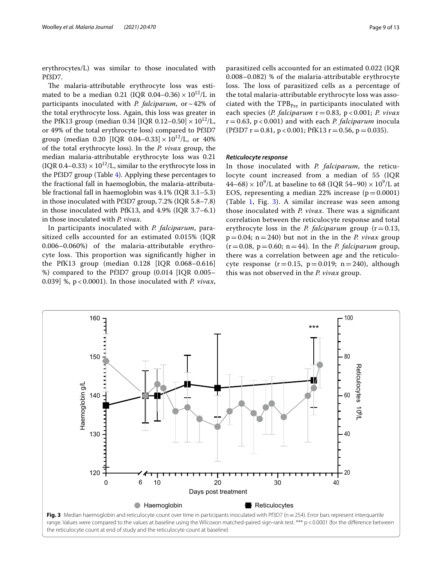erythrocytes/L) was similar to those inoculated with Pf3D7.

The malaria-attributable erythrocyte loss was estimated to be a median 0.21 (IQR 0.04–0.36)  $\times 10^{12}$ /L in participants inoculated with *P. falciparum*, or  $\sim$  42% of the total erythrocyte loss. Again, this loss was greater in the PfK13 group (median 0.34 [IQR 0.12–0.50]  $\times 10^{12}$ /L, or 49% of the total erythrocyte loss) compared to Pf3D7 group (median 0.20 [IQR 0.04–0.33]  $\times 10^{12}$ /L, or 40% of the total erythrocyte loss). In the *P. vivax* group, the median malaria-attributable erythrocyte loss was 0.21  $( IQR 0.4-0.33) \times 10^{12}/L$ , similar to the erythrocyte loss in the Pf3D7 group (Table [4\)](#page-7-0). Applying these percentages to the fractional fall in haemoglobin, the malaria-attributable fractional fall in haemoglobin was 4.1% (IQR 3.1–5.3) in those inoculated with Pf3D7 group, 7.2% (IQR 5.8–7.8) in those inoculated with PfK13, and 4.9% (IQR 3.7–6.1) in those inoculated with *P. vivax*.

In participants inoculated with *P. falciparum*, parasitized cells accounted for an estimated 0.015% (IQR 0.006–0.060%) of the malaria-attributable erythrocyte loss. This proportion was significantly higher in the PfK13 group (median 0.128 [IQR 0.068–0.616] %) compared to the Pf3D7 group (0.014 [IQR 0.005– 0.039] %, p < 0.0001). In those inoculated with *P. vivax*,

parasitized cells accounted for an estimated 0.022 (IQR 0.008–0.082) % of the malaria-attributable erythrocyte loss. The loss of parasitized cells as a percentage of the total malaria-attributable erythrocyte loss was associated with the  $TPB_{pre}$  in participants inoculated with each species (*P. falciparum* r=0.83, p < 0.001; *P. vivax* r=0.63, p < 0.001) and with each *P. falciparum* inocula  $(Pf3D7 r = 0.81, p < 0.001; PfK13 r = 0.56, p = 0.035).$ 

#### *Reticulocyte response*

In those inoculated with *P. falciparum*, the reticulocyte count increased from a median of 55 (IQR  $44-68$ ) ×  $10^9$ /L at baseline to 68 (IQR 54-90) ×  $10^9$ /L at EOS, representing a median 22% increase  $(p=0.0001)$ (Table [1,](#page-3-0) Fig. [3](#page-8-0)). A similar increase was seen among those inoculated with *P. vivax*. There was a significant correlation between the reticulocyte response and total erythrocyte loss in the *P. falciparum* group  $(r=0.13,$  $p=0.04$ ;  $n=240$ ) but not in the *in* the *P. vivax* group  $(r=0.08, p=0.60; n=44)$ . In the *P. falciparum* group, there was a correlation between age and the reticulocyte response  $(r=0.15, p=0.019; n=240)$ , although this was not observed in the *P. vivax* group.

<span id="page-8-0"></span>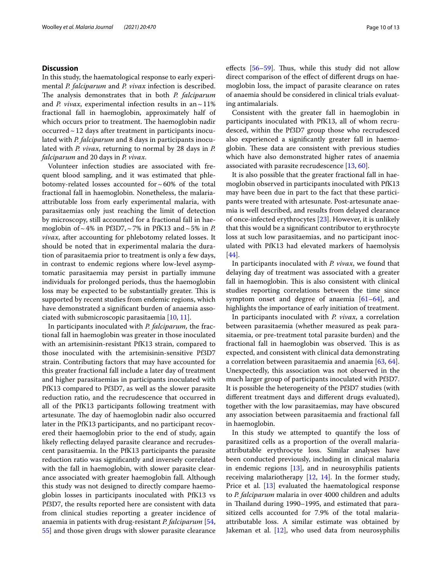#### **Discussion**

In this study, the haematological response to early experimental *P. falciparum* and *P. vivax* infection is described. The analysis demonstrates that in both *P. falciparum* and *P. vivax*, experimental infection results in an $\sim$ 11% fractional fall in haemoglobin, approximately half of which occurs prior to treatment. The haemoglobin nadir occurred $\sim$  12 days after treatment in participants inoculated with *P. falciparum* and 8 days in participants inoculated with *P. vivax*, returning to normal by 28 days in *P. falciparum* and 20 days in *P. vivax*.

Volunteer infection studies are associated with frequent blood sampling, and it was estimated that phlebotomy-related losses accounted for  $\sim$  60% of the total fractional fall in haemoglobin. Nonetheless, the malariaattributable loss from early experimental malaria, with parasitaemias only just reaching the limit of detection by microscopy, still accounted for a fractional fall in haemoglobin of  $\sim$  4% in Pf3D7,  $\sim$  7% in PfK13 and  $\sim$  5% in *P*. *vivax*, after accounting for phlebotomy related losses. It should be noted that in experimental malaria the duration of parasitaemia prior to treatment is only a few days, in contrast to endemic regions where low-level asymptomatic parasitaemia may persist in partially immune individuals for prolonged periods, thus the haemoglobin loss may be expected to be substantially greater. This is supported by recent studies from endemic regions, which have demonstrated a signifcant burden of anaemia associated with submicroscopic parasitaemia [\[10](#page-11-4), [11\]](#page-11-5).

In participants inoculated with *P. falciparum*, the fractional fall in haemoglobin was greater in those inoculated with an artemisinin-resistant PfK13 strain, compared to those inoculated with the artemisinin-sensitive Pf3D7 strain. Contributing factors that may have accounted for this greater fractional fall include a later day of treatment and higher parasitaemias in participants inoculated with PfK13 compared to Pf3D7, as well as the slower parasite reduction ratio, and the recrudescence that occurred in all of the PfK13 participants following treatment with artesunate. The day of haemoglobin nadir also occurred later in the PfK13 participants, and no participant recovered their haemoglobin prior to the end of study, again likely reflecting delayed parasite clearance and recrudescent parasitaemia. In the PfK13 participants the parasite reduction ratio was signifcantly and inversely correlated with the fall in haemoglobin, with slower parasite clearance associated with greater haemoglobin fall. Although this study was not designed to directly compare haemoglobin losses in participants inoculated with PfK13 vs Pf3D7, the results reported here are consistent with data from clinical studies reporting a greater incidence of anaemia in patients with drug-resistant *P. falciparum* [\[54](#page-12-7), [55\]](#page-12-8) and those given drugs with slower parasite clearance effects  $[56-59]$  $[56-59]$  $[56-59]$ . Thus, while this study did not allow direct comparison of the efect of diferent drugs on haemoglobin loss, the impact of parasite clearance on rates of anaemia should be considered in clinical trials evaluating antimalarials.

Consistent with the greater fall in haemoglobin in participants inoculated with PfK13, all of whom recrudesced, within the Pf3D7 group those who recrudesced also experienced a signifcantly greater fall in haemoglobin. These data are consistent with previous studies which have also demonstrated higher rates of anaemia associated with parasite recrudescence [\[13](#page-11-7), [60\]](#page-12-11).

It is also possible that the greater fractional fall in haemoglobin observed in participants inoculated with PfK13 may have been due in part to the fact that these participants were treated with artesunate. Post-artesunate anaemia is well described, and results from delayed clearance of once-infected erythrocytes [[23\]](#page-11-15). However, it is unlikely that this would be a signifcant contributor to erythrocyte loss at such low parasitaemias, and no participant inoculated with PfK13 had elevated markers of haemolysis [[44\]](#page-12-12).

In participants inoculated with *P. vivax*, we found that delaying day of treatment was associated with a greater fall in haemoglobin. This is also consistent with clinical studies reporting correlations between the time since symptom onset and degree of anaemia [[61–](#page-12-13)[64](#page-12-14)], and highlights the importance of early initiation of treatment.

In participants inoculated with *P. vivax*, a correlation between parasitaemia (whether measured as peak parasitaemia, or pre-treatment total parasite burden) and the fractional fall in haemoglobin was observed. This is as expected, and consistent with clinical data demonstrating a correlation between parasitaemia and anaemia [[63,](#page-12-15) [64](#page-12-14)]. Unexpectedly, this association was not observed in the much larger group of participants inoculated with Pf3D7. It is possible the heterogeneity of the Pf3D7 studies (with diferent treatment days and diferent drugs evaluated), together with the low parasitaemias, may have obscured any association between parasitaemia and fractional fall in haemoglobin.

In this study we attempted to quantify the loss of parasitized cells as a proportion of the overall malariaattributable erythrocyte loss. Similar analyses have been conducted previously, including in clinical malaria in endemic regions [\[13](#page-11-7)], and in neurosyphilis patients receiving malariotherapy  $[12, 14]$  $[12, 14]$  $[12, 14]$  $[12, 14]$  $[12, 14]$ . In the former study, Price et al. [\[13](#page-11-7)] evaluated the haematological response to *P. falciparum* malaria in over 4000 children and adults in Thailand during 1990–1995, and estimated that parasitized cells accounted for 7.9% of the total malariaattributable loss. A similar estimate was obtained by Jakeman et al. [[12\]](#page-11-6), who used data from neurosyphilis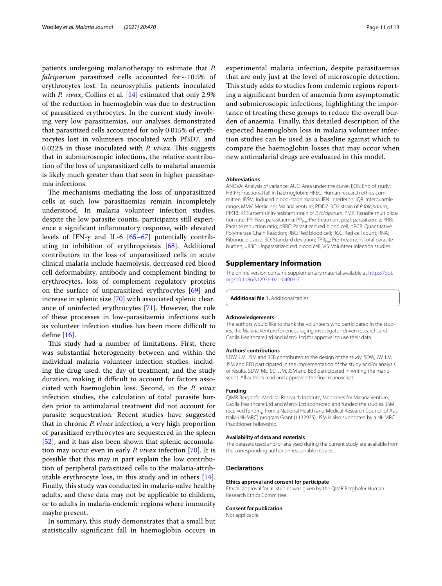patients undergoing malariotherapy to estimate that *P. falciparum* parasitized cells accounted for  $\sim$  10.5% of erythrocytes lost. In neurosyphilis patients inoculated with *P. vivax*, Collins et al. [[14\]](#page-11-8) estimated that only 2.9% of the reduction in haemoglobin was due to destruction of parasitized erythrocytes. In the current study involving very low parasitaemias, our analyses demonstrated that parasitized cells accounted for only 0.015% of erythrocytes lost in volunteers inoculated with Pf3D7, and 0.022% in those inoculated with *P. vivax*. This suggests that in submicroscopic infections, the relative contribution of the loss of unparasitized cells to malarial anaemia is likely much greater than that seen in higher parasitaemia infections.

The mechanisms mediating the loss of unparasitized cells at such low parasitaemias remain incompletely understood. In malaria volunteer infection studies, despite the low parasite counts, participants still experience a signifcant infammatory response, with elevated levels of IFN-γ and IL-6  $[65-67]$  $[65-67]$  $[65-67]$  potentially contributing to inhibition of erythropoiesis [[68\]](#page-12-18). Additional contributors to the loss of unparasitized cells in acute clinical malaria include haemolysis, decreased red blood cell deformability, antibody and complement binding to erythrocytes, loss of complement regulatory proteins on the surface of unparasitized erythrocytes [\[69](#page-12-19)] and increase in splenic size [[70](#page-12-20)] with associated splenic clearance of uninfected erythrocytes [[71\]](#page-12-21). However, the role of these processes in low-parasitaemia infections such as volunteer infection studies has been more difficult to defne [\[16](#page-11-10)].

This study had a number of limitations. First, there was substantial heterogeneity between and within the individual malaria volunteer infection studies, including the drug used, the day of treatment, and the study duration, making it difficult to account for factors associated with haemoglobin loss. Second, in the *P. vivax* infection studies, the calculation of total parasite burden prior to antimalarial treatment did not account for parasite sequestration. Recent studies have suggested that in chronic *P. vivax* infection, a very high proportion of parasitized erythrocytes are sequestered in the spleen [[52\]](#page-12-5), and it has also been shown that splenic accumulation may occur even in early *P. vivax* infection [\[70](#page-12-20)]. It is possible that this may in part explain the low contribution of peripheral parasitized cells to the malaria-attributable erythrocyte loss, in this study and in others [\[14](#page-11-8)]. Finally, this study was conducted in malaria-naïve healthy adults, and these data may not be applicable to children, or to adults in malaria-endemic regions where immunity maybe present.

In summary, this study demonstrates that a small but statistically signifcant fall in haemoglobin occurs in experimental malaria infection, despite parasitaemias that are only just at the level of microscopic detection. This study adds to studies from endemic regions reporting a signifcant burden of anaemia from asymptomatic and submicroscopic infections, highlighting the importance of treating these groups to reduce the overall burden of anaemia. Finally, this detailed description of the expected haemoglobin loss in malaria volunteer infection studies can be used as a baseline against which to compare the haemoglobin losses that may occur when new antimalarial drugs are evaluated in this model.

#### **Abbreviations**

ANOVA: Analysis of variance; AUC: Area under the curve; EOS: End of study; HB-FF: Fractional fall in haemoglobin; HREC: Human research ethics committee; IBSM: Induced blood-stage malaria; IFN: Interferon; IQR: Interquartile range; MMV: Medicines Malaria Venture; Pf3D7: 3D7 strain of *P. falciparum*; PfK13: K13 artemisinin-resistant strain of *P. falciparum*; PMR: Parasite multiplication rate; PP: Peak parasitaemia; PP<sub>Pre</sub>: Pre-treatment peak parasitaemia; PRR: Parasite reduction ratio; pRBC: Parasitized red blood cell; qPCR: Quantitative Polymerase Chain Reaction; RBC: Red blood cell; RCC: Red cell count; RNA: Ribonucleic acid; SD: Standard deviation; TPB<sub>Pre</sub>: Pre-treatment total parasite burden; uRBC: Unparasitized red blood cell; VIS: Volunteer infection studies.

#### **Supplementary Information**

The online version contains supplementary material available at [https://doi.](https://doi.org/10.1186/s12936-021-04003-7) [org/10.1186/s12936-021-04003-7](https://doi.org/10.1186/s12936-021-04003-7).

<span id="page-10-0"></span>**Additional fle 1.** Additional tables.

#### **Acknowledgements**

The authors would like to thank the volunteers who participated in the studies, the Malaria Venture for encouraging investigator-driven research, and Cadila Healthcare Ltd and Merck Ltd for approval to use their data.

#### **Authors' contributions**

SDW, LM, JSM and BEB contributed to the design of the study. SDW, JW, LM, JSM and BEB participated in the implementation of the study and/or analysis of results. SDW, ML, SC, JJM, JSM and BEB participated in writing the manuscript. All authors read and approved the fnal manuscript.

#### **Funding**

QIMR Berghofer Medical Research Institute, Medicines for Malaria Venture, Cadila Healthcare Ltd and Merck Ltd sponsored and funded the studies. JSM received funding from a National Health and Medical Research Council of Australia (NHMRC) program Grant (1132975). JSM is also supported by a NHMRC Practitioner Fellowship.

#### **Availability of data and materials**

The datasets used and/or analysed during the current study are available from the corresponding author on reasonable request.

#### **Declarations**

#### **Ethics approval and consent for participate**

Ethical approval for all studies was given by the QIMR Berghofer Human Research Ethics Committee.

#### **Consent for publication**

Not applicable.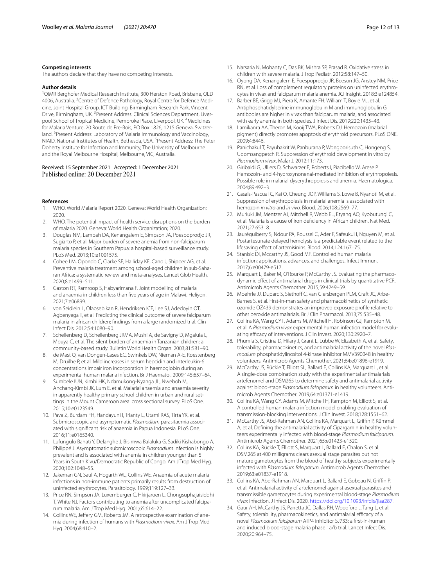#### **Competing interests**

The authors declare that they have no competing interests.

#### **Author details**

<sup>1</sup>QIMR Berghofer Medical Research Institute, 300 Herston Road, Brisbane, QLD 4006, Australia. <sup>2</sup> Centre of Defence Pathology, Royal Centre for Defence Medicine, Joint Hospital Group, ICT Building, Birmingham Research Park, Vincent Drive, Birmingham, UK. <sup>3</sup>Present Address: Clinical Sciences Department, Liverpool School of Tropical Medicine, Pembroke Place, Liverpool, UK. <sup>4</sup>Medicines for Malaria Venture, 20 Route de Pre-Bois, PO Box 1826, 1215 Geneva, Switzerland. <sup>5</sup> Present Address: Laboratory of Malaria Immunology and Vaccinology, NIAID, National Institutes of Health, Bethesda, USA. <sup>6</sup> Present Address: The Peter Doherty Institute for Infection and Immunity, The University of Melbourne and the Royal Melbourne Hospital, Melbourne, VIC, Australia.

## Received: 15 September 2021 Accepted: 1 December 2021

#### **References**

- <span id="page-11-0"></span>1. WHO. World Malaria Report 2020. Geneva: World Health Organization; 2020.
- <span id="page-11-1"></span>2. WHO. The potential impact of health service disruptions on the burden of malaria 2020. Geneva: World Health Organization; 2020.
- <span id="page-11-2"></span>3. Douglas NM, Lampah DA, Kenangalem E, Simpson JA, Poespoprodjo JR, Sugiarto P, et al. Major burden of severe anemia from non-falciparum malaria species in Southern Papua: a hospital-based surveillance study. PLoS Med. 2013;10:e1001575.
- Cohee LM, Opondo C, Clarke SE, Halliday KE, Cano J, Shipper AG, et al. Preventive malaria treatment among school-aged children in sub-Saharan Africa: a systematic review and meta-analyses. Lancet Glob Health. 2020;8:e1499–511.
- 5. Gaston RT, Ramroop S, Habyarimana F. Joint modelling of malaria and anaemia in children less than fve years of age in Malawi. Heliyon. 2021;7:e06899.
- 6. von Seidlein L, Olaosebikan R, Hendriksen ICE, Lee SJ, Adedoyin OT, Agbenyega T, et al. Predicting the clinical outcome of severe falciparum malaria in african children: fndings from a large randomized trial. Clin Infect Dis. 2012;54:1080–90.
- 7. Schellenberg D, Schellenberg JRMA, Mushi A, de Savigny D, Mgalula L, Mbuya C, et al. The silent burden of anaemia in Tanzanian children: a community-based study. Bulletin World Health Organ. 2003;81:581–90.
- 8. de Mast Q, van Dongen-Lases EC, Swinkels DW, Nieman A-E, Roestenberg M, Druilhe P, et al. Mild increases in serum hepcidin and interleukin-6 concentrations impair iron incorporation in haemoglobin during an experimental human malaria infection. Br J Haematol. 2009;145:657–64.
- <span id="page-11-3"></span>9. Sumbele IUN, Kimbi HK, Ndamukong-Nyanga JL, Nweboh M, Anchang-Kimbi JK, Lum E, et al. Malarial anaemia and anaemia severity in apparently healthy primary school children in urban and rural settings in the Mount Cameroon area: cross sectional survey. PLoS One. 2015;10:e0123549.
- <span id="page-11-4"></span>10. Pava Z, Burdam FH, Handayuni I, Trianty L, Utami RAS, Tirta YK, et al. Submicroscopic and asymptomatic *Plasmodium* parasitaemia associated with signifcant risk of anaemia in Papua Indonesia. PLoS One. 2016;11:e0165340.
- <span id="page-11-5"></span>11. Lufungulo Bahati Y, Delanghe J, Bisimwa Balaluka G, Sadiki Kishabongo A, Philippé J. Asymptomatic submicroscopic *Plasmodium* infection is highly prevalent and is associated with anemia in children younger than 5 Years in South Kivu/Democratic Republic of Congo. Am J Trop Med Hyg. 2020;102:1048–55.
- <span id="page-11-6"></span>12. Jakeman GN, Saul A, Hogarth WL, Collins WE. Anaemia of acute malaria infections in non-immune patients primarily results from destruction of uninfected erythrocytes. Parasitology. 1999;119:127–33.
- <span id="page-11-7"></span>13. Price RN, Simpson JA, Luxemburger C, Hkirjaroen L, Chongsuphajaisiddhi T, White NJ. Factors contributing to anemia after uncomplicated falciparum malaria. Am J Trop Med Hyg. 2001;65:614–22.
- <span id="page-11-8"></span>14. Collins WE, Jeffery GM, Roberts JM. A retrospective examination of anemia during infection of humans with *Plasmodium vivax*. Am J Trop Med Hyg. 2004;68:410–2.
- <span id="page-11-9"></span>15. Narsaria N, Mohanty C, Das BK, Mishra SP, Prasad R. Oxidative stress in children with severe malaria. J Trop Pediatr. 2012;58:147–50.
- <span id="page-11-10"></span>16. Oyong DA, Kenangalem E, Poespoprodjo JR, Beeson JG, Anstey NM, Price RN, et al. Loss of complement regulatory proteins on uninfected erythrocytes in vivax and falciparum malaria anemia. JCI Insight. 2018;3:e124854.
- <span id="page-11-11"></span>17. Barber BE, Grigg MJ, Piera K, Amante FH, William T, Boyle MJ, et al. Antiphosphatidylserine immunoglobulin M and immunoglobulin G antibodies are higher in vivax than falciparum malaria, and associated with early anemia in both species. J Infect Dis. 2019;220:1435–43.
- <span id="page-11-12"></span>18. Lamikanra AA, Theron M, Kooij TWA, Roberts DJ. Hemozoin (malarial pigment) directly promotes apoptosis of erythroid precursors. PLoS ONE. 2009;4:8446.
- 19. Panichakul T, Payuhakrit W, Panburana P, Wongborisuth C, Hongeng S, Udomsangpetch R. Suppression of erythroid development in vitro by *Plasmodium vivax*. Malar J. 2012;11:173.
- 20. Giribaldi G, Ulliers D, Schwarzer E, Roberts I, Piacibello W, Arese P. Hemozoin- and 4-hydroxynonenal-mediated inhibition of erythropoiesis. Possible role in malarial dyserythropoiesis and anemia. Haematologica. 2004;89:492–3.
- <span id="page-11-13"></span>21. Casals-Pascual C, Kai O, Cheung JOP, Williams S, Lowe B, Nyanoti M, et al. Suppression of erythropoiesis in malarial anemia is associated with hemozoin *in vitro* and *in vivo*. Blood. 2006;108:2569–77.
- <span id="page-11-14"></span>22. Muriuki JM, Mentzer AJ, Mitchell R, Webb EL, Etyang AO, Kyobutungi C, et al. Malaria is a cause of iron defciency in African children. Nat Med. 2021;27:653–8.
- <span id="page-11-15"></span>23. Jauréguiberry S, Ndour PA, Roussel C, Ader F, Safeukui I, Nguyen M, et al. Postartesunate delayed hemolysis is a predictable event related to the lifesaving efect of artemisinins. Blood. 2014;124:167–75.
- <span id="page-11-16"></span>24. Stanisic DI, Mccarthy JS, Good MF. Controlled human malaria infection: applications, advances, and challenges. Infect Immun. 2017;6:e00479-e517.
- <span id="page-11-17"></span>25. Marquart L, Baker M, O'Rourke P, McCarthy JS. Evaluating the pharmacodynamic efect of antimalarial drugs in clinical trials by quantitative PCR. Antimicrob Agents Chemother. 2015;59:4249–59.
- 26. Moehrle JJ, Duparc S, Siethoff C, van Giersbergen PLM, Craft JC, Arbe-Barnes S, et al. First-in-man safety and pharmacokinetics of synthetic ozonide OZ439 demonstrates an improved exposure profle relative to other peroxide antimalarials. Br J Clin Pharmacol. 2013;75:535–48.
- 27. Collins KA, Wang CYT, Adams M, Mitchell H, Robinson GJ, Rampton M, et al. A *Plasmodium vivax* experimental human infection model for evaluating efficacy of interventions. J Clin Invest. 2020;130:2920-7.
- 28. Phumla S, Cristina D, Hilary J, Grant L, Lubbe W, Elizabeth A, et al. Safety, tolerability, pharmacokinetics, and antimalarial activity of the novel *Plasmodium* phosphatidylinositol 4-kinase inhibitor MMV390048 in healthy volunteers. Antimicrob Agents Chemother. 2021;64:e01896-e1919.
- 29. McCarthy JS, Rückle T, Elliott SL, Ballard E, Collins KA, Marquart L, et al. A single-dose combination study with the experimental antimalarials artefenomel and DSM265 to determine safety and antimalarial activity against blood-stage *Plasmodium falciparum* in healthy volunteers. Antimicrob Agents Chemother. 2019;64:e01371-e1419.
- 30. Collins KA, Wang CY, Adams M, Mitchell H, Rampton M, Elliott S, et al. A controlled human malaria infection model enabling evaluation of transmission-blocking interventions. J Clin Invest. 2018;128:1551–62.
- 31. McCarthy JS, Abd-Rahman AN, Collins KA, Marquart L, Griffin P, Kümmel A, et al. Defning the antimalarial activity of Cipargamin in healthy volunteers experimentally infected with blood-stage *Plasmodium falciparum*. Antimicrob Agents Chemother. 2021;65:e01423-e1520.
- 32. Collins KA, Rückle T, Elliott S, Marquart L, Ballard E, Chalon S, et al. DSM265 at 400 milligrams clears asexual stage parasites but not mature gametocytes from the blood of healthy subjects experimentally infected with *Plasmodium falciparum*. Antimicrob Agents Chemother. 2019;63:e01837-e1918.
- 33. Collins KA, Abd-Rahman AN, Marquart L, Ballard E, Gobeau N, Griffin P, et al. Antimalarial activity of artefenomel against asexual parasites and transmissible gametocytes during experimental blood-stage *Plasmodium vivax* infection. J Infect Dis. 2020. <https://doi.org/10.1093/infdis/jiaa287>.
- 34. Gaur AH, McCarthy JS, Panetta JC, Dallas RH, Woodford J, Tang L, et al. Safety, tolerability, pharmacokinetics, and antimalarial efficacy of a novel *Plasmodium falciparum* ATP4 inhibitor SJ733: a frst-in-human and induced blood-stage malaria phase 1a/b trial. Lancet Infect Dis. 2020;20:964–75.